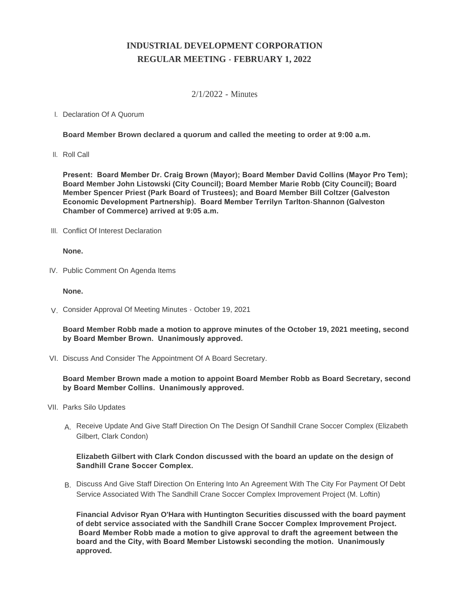# **INDUSTRIAL DEVELOPMENT CORPORATION REGULAR MEETING - FEBRUARY 1, 2022**

### 2/1/2022 - Minutes

## I. Declaration Of A Quorum

**Board Member Brown declared a quorum and called the meeting to order at 9:00 a.m.**

II. Roll Call

**Present: Board Member Dr. Craig Brown (Mayor); Board Member David Collins (Mayor Pro Tem); Board Member John Listowski (City Council); Board Member Marie Robb (City Council); Board Member Spencer Priest (Park Board of Trustees); and Board Member Bill Coltzer (Galveston Economic Development Partnership). Board Member Terrilyn Tarlton-Shannon (Galveston Chamber of Commerce) arrived at 9:05 a.m.**

III. Conflict Of Interest Declaration

#### **None.**

IV. Public Comment On Agenda Items

#### **None.**

Consider Approval Of Meeting Minutes - October 19, 2021 V.

**Board Member Robb made a motion to approve minutes of the October 19, 2021 meeting, second by Board Member Brown. Unanimously approved.**

VI. Discuss And Consider The Appointment Of A Board Secretary.

## **Board Member Brown made a motion to appoint Board Member Robb as Board Secretary, second by Board Member Collins. Unanimously approved.**

- VII. Parks Silo Updates
	- A. Receive Update And Give Staff Direction On The Design Of Sandhill Crane Soccer Complex (Elizabeth Gilbert, Clark Condon)

#### **Elizabeth Gilbert with Clark Condon discussed with the board an update on the design of Sandhill Crane Soccer Complex.**

B. Discuss And Give Staff Direction On Entering Into An Agreement With The City For Payment Of Debt Service Associated With The Sandhill Crane Soccer Complex Improvement Project (M. Loftin)

**Financial Advisor Ryan O'Hara with Huntington Securities discussed with the board payment of debt service associated with the Sandhill Crane Soccer Complex Improvement Project. Board Member Robb made a motion to give approval to draft the agreement between the board and the City, with Board Member Listowski seconding the motion. Unanimously approved.**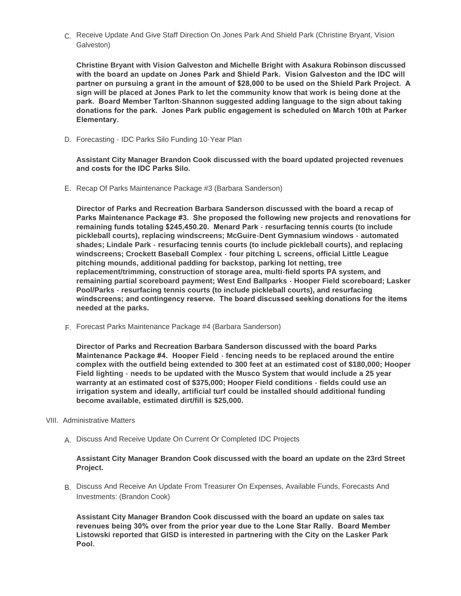C. Receive Update And Give Staff Direction On Jones Park And Shield Park (Christine Bryant, Vision Galveston)

**Christine Bryant with Vision Galveston and Michelle Bright with Asakura Robinson discussed with the board an update on Jones Park and Shield Park. Vision Galveston and the IDC will partner on pursuing a grant in the amount of \$28,000 to be used on the Shield Park Project. A sign will be placed at Jones Park to let the community know that work is being done at the park. Board Member Tarlton-Shannon suggested adding language to the sign about taking donations for the park. Jones Park public engagement is scheduled on March 10th at Parker Elementary.** 

D. Forecasting - IDC Parks Silo Funding 10-Year Plan

**Assistant City Manager Brandon Cook discussed with the board updated projected revenues and costs for the IDC Parks Silo.** 

E. Recap Of Parks Maintenance Package #3 (Barbara Sanderson)

**Director of Parks and Recreation Barbara Sanderson discussed with the board a recap of Parks Maintenance Package #3. She proposed the following new projects and renovations for remaining funds totaling \$245,450.20. Menard Park - resurfacing tennis courts (to include pickleball courts), replacing windscreens; McGuire-Dent Gymnasium windows - automated shades; Lindale Park - resurfacing tennis courts (to include pickleball courts), and replacing windscreens; Crockett Baseball Complex - four pitching L screens, official Little League pitching mounds, additional padding for backstop, parking lot netting, tree replacement/trimming, construction of storage area, multi-field sports PA system, and remaining partial scoreboard payment; West End Ballparks - Hooper Field scoreboard; Lasker Pool/Parks - resurfacing tennis courts (to include pickleball courts), and resurfacing windscreens; and contingency reserve. The board discussed seeking donations for the items needed at the parks.**

F. Forecast Parks Maintenance Package #4 (Barbara Sanderson)

**Director of Parks and Recreation Barbara Sanderson discussed with the board Parks Maintenance Package #4. Hooper Field - fencing needs to be replaced around the entire complex with the outfield being extended to 300 feet at an estimated cost of \$180,000; Hooper Field lighting - needs to be updated with the Musco System that would include a 25 year warranty at an estimated cost of \$375,000; Hooper Field conditions - fields could use an irrigation system and ideally, artificial turf could be installed should additional funding become available, estimated dirt/fill is \$25,000.**

- VIII. Administrative Matters
	- A. Discuss And Receive Update On Current Or Completed IDC Projects

#### **Assistant City Manager Brandon Cook discussed with the board an update on the 23rd Street Project.**

B. Discuss And Receive An Update From Treasurer On Expenses, Available Funds, Forecasts And Investments: (Brandon Cook)

**Assistant City Manager Brandon Cook discussed with the board an update on sales tax revenues being 30% over from the prior year due to the Lone Star Rally. Board Member Listowski reported that GISD is interested in partnering with the City on the Lasker Park Pool.**